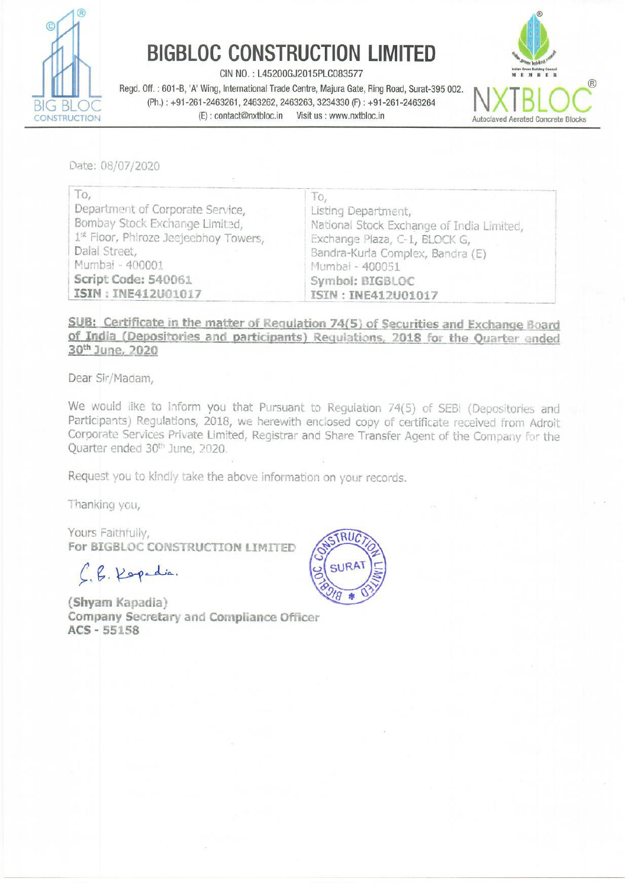

## BIGBLOC CONSTRUCTION LIMITED

CIN NO.: L45200GJ2015PLC083577

Regd. Off. : 601-B, 'A' Wing, International Trade Centre, Majura Gate, Ring Road, Surat-395 002.<br>BIG BLOG (Ph.) : +91-261-2463261, 2463262, 2463263, 3234330 (F) : +91-261-2463264 N XTB LOC CONSTRUCTION (E): contact@nxtbloc.in Visit us : www.nxtbloc.in Autoclaved Aerated Concrete Blocks



Date: 08/07/2020

| To,                                   | ΙО,                                       |
|---------------------------------------|-------------------------------------------|
| Department of Corporate Service,      | Listing Department,                       |
| Bombay Stock Exchange Limited,        | National Stock Exchange of India Limited, |
| 1st Floor, Phiroze Jeejeebhoy Towers, | Exchange Plaza, C-1, BLOCK G,             |
| Dalal Street,                         | Bandra-Kurla Complex, Bandra (E)          |
| Mumbai - 400001                       | Mumbai - 400051                           |
| Script Code: 540061                   | Symbol: BIGBLOC                           |
| ISIN: INE412U01017                    | ISIN: INE412U01017                        |

## SUB: Certificate in the matter of Regulation 74(5) of Securities and Exchange Board<br>of India (Depositories and participants) Regulations, 2018 for the Quarter ended<br>30<sup>th</sup> June, 2020

Dear Sir/Madam,

We would like to inform you that Pursuant to Regulation 74(5) of SEBI (Depositories and Participants) Regulations, 2018, we herewith enclosed copy of certificate received from Adroit Participants) Regulations, 2018, we herewith enclosed copy of certificate received from Adroit Corporate Services Private Limited, Registrar and Share Transfer Agent of the Company for the Quarter ended 30<sup>th</sup> June, 2020.

Request you to kindly take the above information on your records.

Thanking you,

Yours Faithfully, For BIGBLOC CONSTRUCTION LIMITED

 $C, B. K$ 



(Shyam Kapadia) Company Secretary and Compliance Officer ACS - 55158